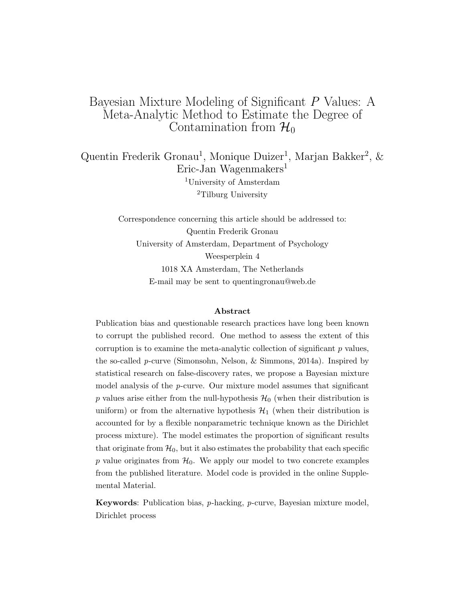# Bayesian Mixture Modeling of Significant P Values: A Meta-Analytic Method to Estimate the Degree of Contamination from  $\mathcal{H}_0$

Quentin Frederik Gronau<sup>1</sup>, Monique Duizer<sup>1</sup>, Marjan Bakker<sup>2</sup>, & Eric-Jan Wagenmakers<sup>1</sup> <sup>1</sup>University of Amsterdam <sup>2</sup>Tilburg University

> Correspondence concerning this article should be addressed to: Quentin Frederik Gronau University of Amsterdam, Department of Psychology Weesperplein 4 1018 XA Amsterdam, The Netherlands E-mail may be sent to quentingronau@web.de

#### Abstract

Publication bias and questionable research practices have long been known to corrupt the published record. One method to assess the extent of this corruption is to examine the meta-analytic collection of significant  $p$  values, the so-called p-curve (Simonsohn, Nelson, & Simmons, 2014a). Inspired by statistical research on false-discovery rates, we propose a Bayesian mixture model analysis of the  $p$ -curve. Our mixture model assumes that significant p values arise either from the null-hypothesis  $\mathcal{H}_0$  (when their distribution is uniform) or from the alternative hypothesis  $\mathcal{H}_1$  (when their distribution is accounted for by a flexible nonparametric technique known as the Dirichlet process mixture). The model estimates the proportion of significant results that originate from  $\mathcal{H}_0$ , but it also estimates the probability that each specific p value originates from  $\mathcal{H}_0$ . We apply our model to two concrete examples from the published literature. Model code is provided in the online Supplemental Material.

**Keywords:** Publication bias,  $p$ -hacking,  $p$ -curve, Bayesian mixture model, Dirichlet process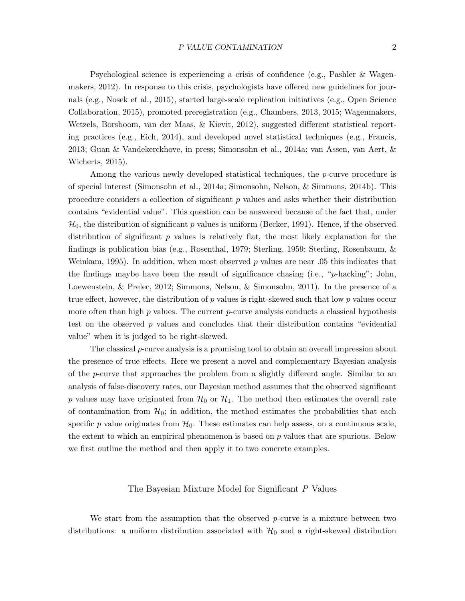Psychological science is experiencing a crisis of confidence (e.g., Pashler & Wagenmakers, 2012). In response to this crisis, psychologists have offered new guidelines for journals (e.g., Nosek et al., 2015), started large-scale replication initiatives (e.g., Open Science Collaboration, 2015), promoted preregistration (e.g., Chambers, 2013, 2015; Wagenmakers, Wetzels, Borsboom, van der Maas, & Kievit, 2012), suggested different statistical reporting practices (e.g., Eich, 2014), and developed novel statistical techniques (e.g., Francis, 2013; Guan & Vandekerckhove, in press; Simonsohn et al., 2014a; van Assen, van Aert, & Wicherts, 2015).

Among the various newly developed statistical techniques, the p-curve procedure is of special interest (Simonsohn et al., 2014a; Simonsohn, Nelson, & Simmons, 2014b). This procedure considers a collection of significant  $p$  values and asks whether their distribution contains "evidential value". This question can be answered because of the fact that, under  $\mathcal{H}_0$ , the distribution of significant p values is uniform (Becker, 1991). Hence, if the observed distribution of significant  $p$  values is relatively flat, the most likely explanation for the findings is publication bias (e.g., Rosenthal, 1979; Sterling, 1959; Sterling, Rosenbaum, & Weinkam, 1995). In addition, when most observed  $p$  values are near 0.05 this indicates that the findings maybe have been the result of significance chasing (i.e., "p-hacking"; John, Loewenstein, & Prelec, 2012; Simmons, Nelson, & Simonsohn, 2011). In the presence of a true effect, however, the distribution of  $p$  values is right-skewed such that low  $p$  values occur more often than high  $p$  values. The current  $p$ -curve analysis conducts a classical hypothesis test on the observed  $p$  values and concludes that their distribution contains "evidential" value" when it is judged to be right-skewed.

The classical  $p$ -curve analysis is a promising tool to obtain an overall impression about the presence of true effects. Here we present a novel and complementary Bayesian analysis of the p-curve that approaches the problem from a slightly different angle. Similar to an analysis of false-discovery rates, our Bayesian method assumes that the observed significant p values may have originated from  $\mathcal{H}_0$  or  $\mathcal{H}_1$ . The method then estimates the overall rate of contamination from  $H_0$ ; in addition, the method estimates the probabilities that each specific p value originates from  $\mathcal{H}_0$ . These estimates can help assess, on a continuous scale, the extent to which an empirical phenomenon is based on  $p$  values that are spurious. Below we first outline the method and then apply it to two concrete examples.

### The Bayesian Mixture Model for Significant P Values

We start from the assumption that the observed  $p$ -curve is a mixture between two distributions: a uniform distribution associated with  $\mathcal{H}_0$  and a right-skewed distribution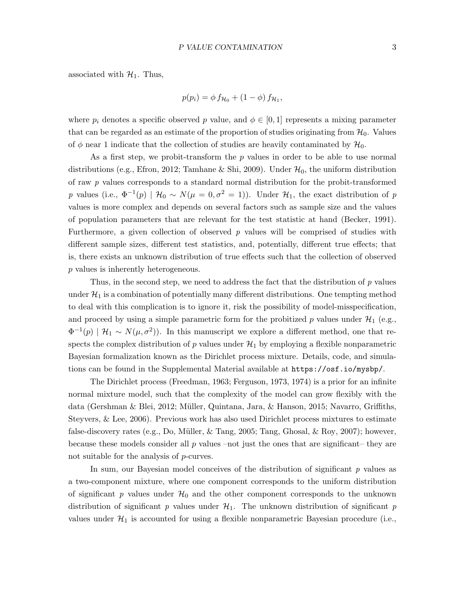associated with  $\mathcal{H}_1$ . Thus,

$$
p(p_i) = \phi f_{\mathcal{H}_0} + (1 - \phi) f_{\mathcal{H}_1},
$$

where  $p_i$  denotes a specific observed p value, and  $\phi \in [0,1]$  represents a mixing parameter that can be regarded as an estimate of the proportion of studies originating from  $\mathcal{H}_0$ . Values of  $\phi$  near 1 indicate that the collection of studies are heavily contaminated by  $\mathcal{H}_0$ .

As a first step, we probit-transform the  $p$  values in order to be able to use normal distributions (e.g., Efron, 2012; Tamhane & Shi, 2009). Under  $\mathcal{H}_0$ , the uniform distribution of raw p values corresponds to a standard normal distribution for the probit-transformed p values (i.e.,  $\Phi^{-1}(p) | H_0 \sim N(\mu = 0, \sigma^2 = 1)$ ). Under  $\mathcal{H}_1$ , the exact distribution of p values is more complex and depends on several factors such as sample size and the values of population parameters that are relevant for the test statistic at hand (Becker, 1991). Furthermore, a given collection of observed  $p$  values will be comprised of studies with different sample sizes, different test statistics, and, potentially, different true effects; that is, there exists an unknown distribution of true effects such that the collection of observed p values is inherently heterogeneous.

Thus, in the second step, we need to address the fact that the distribution of  $p$  values under  $\mathcal{H}_1$  is a combination of potentially many different distributions. One tempting method to deal with this complication is to ignore it, risk the possibility of model-misspecification, and proceed by using a simple parametric form for the probitized p values under  $\mathcal{H}_1$  (e.g.,  $\Phi^{-1}(p) | H_1 \sim N(\mu, \sigma^2)$ . In this manuscript we explore a different method, one that respects the complex distribution of  $p$  values under  $\mathcal{H}_1$  by employing a flexible nonparametric Bayesian formalization known as the Dirichlet process mixture. Details, code, and simulations can be found in the Supplemental Material available at https://osf.io/mysbp/.

The Dirichlet process (Freedman, 1963; Ferguson, 1973, 1974) is a prior for an infinite normal mixture model, such that the complexity of the model can grow flexibly with the data (Gershman & Blei, 2012; Müller, Quintana, Jara, & Hanson, 2015; Navarro, Griffiths, Steyvers, & Lee, 2006). Previous work has also used Dirichlet process mixtures to estimate false-discovery rates (e.g., Do, Müller,  $\&$  Tang, 2005; Tang, Ghosal,  $\&$  Roy, 2007); however, because these models consider all  $p$  values –not just the ones that are significant– they are not suitable for the analysis of p-curves.

In sum, our Bayesian model conceives of the distribution of significant  $p$  values as a two-component mixture, where one component corresponds to the uniform distribution of significant p values under  $\mathcal{H}_0$  and the other component corresponds to the unknown distribution of significant p values under  $\mathcal{H}_1$ . The unknown distribution of significant p values under  $\mathcal{H}_1$  is accounted for using a flexible nonparametric Bayesian procedure (i.e.,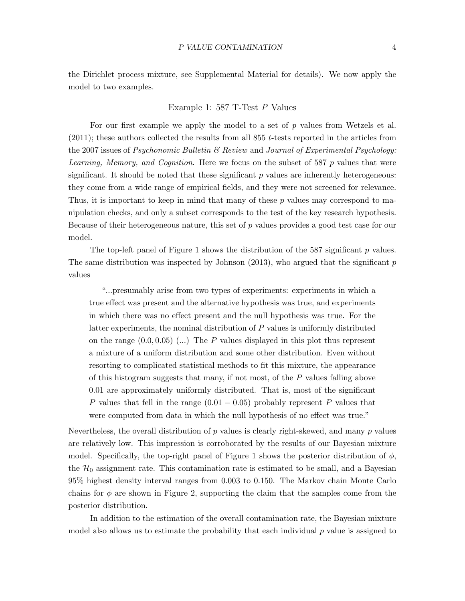the Dirichlet process mixture, see Supplemental Material for details). We now apply the model to two examples.

## Example 1: 587 T-Test P Values

For our first example we apply the model to a set of  $p$  values from Wetzels et al.  $(2011)$ ; these authors collected the results from all 855 t-tests reported in the articles from the 2007 issues of *Psychonomic Bulletin*  $\mathcal B$  *Review* and *Journal of Experimental Psychology:* Learning, Memory, and Cognition. Here we focus on the subset of 587 p values that were significant. It should be noted that these significant  $p$  values are inherently heterogeneous: they come from a wide range of empirical fields, and they were not screened for relevance. Thus, it is important to keep in mind that many of these  $p$  values may correspond to manipulation checks, and only a subset corresponds to the test of the key research hypothesis. Because of their heterogeneous nature, this set of  $p$  values provides a good test case for our model.

The top-left panel of Figure 1 shows the distribution of the  $587$  significant p values. The same distribution was inspected by Johnson  $(2013)$ , who argued that the significant p values

"...presumably arise from two types of experiments: experiments in which a true effect was present and the alternative hypothesis was true, and experiments in which there was no effect present and the null hypothesis was true. For the latter experiments, the nominal distribution of P values is uniformly distributed on the range  $(0.0, 0.05)$  (...) The P values displayed in this plot thus represent a mixture of a uniform distribution and some other distribution. Even without resorting to complicated statistical methods to fit this mixture, the appearance of this histogram suggests that many, if not most, of the P values falling above 0.01 are approximately uniformly distributed. That is, most of the significant P values that fell in the range  $(0.01 - 0.05)$  probably represent P values that were computed from data in which the null hypothesis of no effect was true."

Nevertheless, the overall distribution of  $p$  values is clearly right-skewed, and many  $p$  values are relatively low. This impression is corroborated by the results of our Bayesian mixture model. Specifically, the top-right panel of Figure 1 shows the posterior distribution of  $\phi$ , the  $\mathcal{H}_0$  assignment rate. This contamination rate is estimated to be small, and a Bayesian 95% highest density interval ranges from 0.003 to 0.150. The Markov chain Monte Carlo chains for  $\phi$  are shown in Figure 2, supporting the claim that the samples come from the posterior distribution.

In addition to the estimation of the overall contamination rate, the Bayesian mixture model also allows us to estimate the probability that each individual  $p$  value is assigned to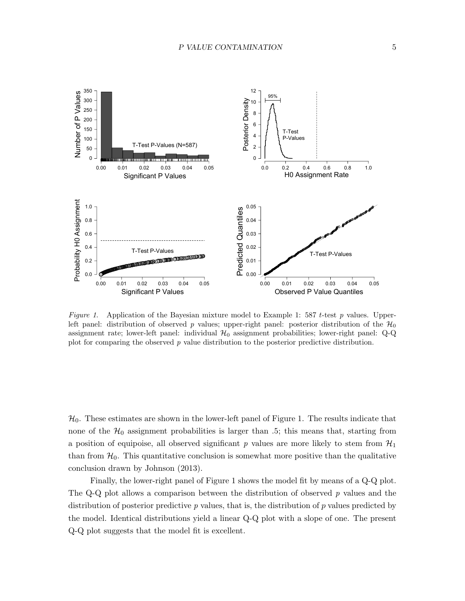

Figure 1. Application of the Bayesian mixture model to Example 1: 587 t-test  $p$  values. Upperleft panel: distribution of observed p values; upper-right panel: posterior distribution of the  $\mathcal{H}_0$ assignment rate; lower-left panel: individual  $H_0$  assignment probabilities; lower-right panel: Q-Q plot for comparing the observed  $p$  value distribution to the posterior predictive distribution.

 $\mathcal{H}_0$ . These estimates are shown in the lower-left panel of Figure 1. The results indicate that none of the  $\mathcal{H}_0$  assignment probabilities is larger than .5; this means that, starting from a position of equipoise, all observed significant p values are more likely to stem from  $\mathcal{H}_1$ than from  $\mathcal{H}_0$ . This quantitative conclusion is somewhat more positive than the qualitative conclusion drawn by Johnson (2013).

Finally, the lower-right panel of Figure 1 shows the model fit by means of a Q-Q plot. The Q-Q plot allows a comparison between the distribution of observed  $p$  values and the distribution of posterior predictive  $p$  values, that is, the distribution of  $p$  values predicted by the model. Identical distributions yield a linear Q-Q plot with a slope of one. The present Q-Q plot suggests that the model fit is excellent.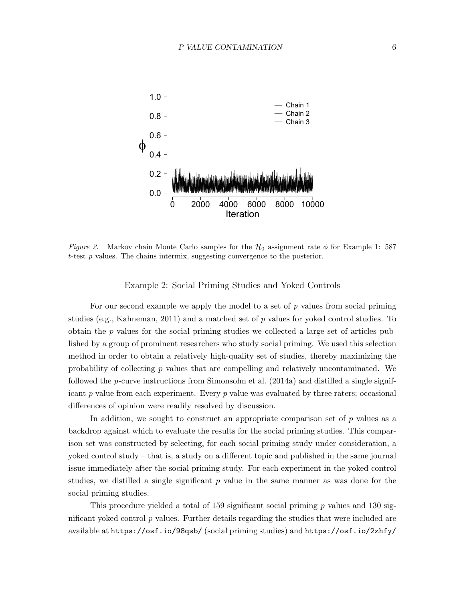

Figure 2. Markov chain Monte Carlo samples for the  $\mathcal{H}_0$  assignment rate  $\phi$  for Example 1: 587 t-test  $p$  values. The chains intermix, suggesting convergence to the posterior.

Example 2: Social Priming Studies and Yoked Controls

For our second example we apply the model to a set of  $p$  values from social priming studies (e.g., Kahneman, 2011) and a matched set of  $p$  values for yoked control studies. To obtain the p values for the social priming studies we collected a large set of articles published by a group of prominent researchers who study social priming. We used this selection method in order to obtain a relatively high-quality set of studies, thereby maximizing the probability of collecting p values that are compelling and relatively uncontaminated. We followed the p-curve instructions from Simonsohn et al. (2014a) and distilled a single significant  $p$  value from each experiment. Every  $p$  value was evaluated by three raters; occasional differences of opinion were readily resolved by discussion.

In addition, we sought to construct an appropriate comparison set of  $p$  values as a backdrop against which to evaluate the results for the social priming studies. This comparison set was constructed by selecting, for each social priming study under consideration, a yoked control study – that is, a study on a different topic and published in the same journal issue immediately after the social priming study. For each experiment in the yoked control studies, we distilled a single significant  $p$  value in the same manner as was done for the social priming studies.

This procedure yielded a total of 159 significant social priming  $p$  values and 130 significant yoked control p values. Further details regarding the studies that were included are available at https://osf.io/98qsb/ (social priming studies) and https://osf.io/2zhfy/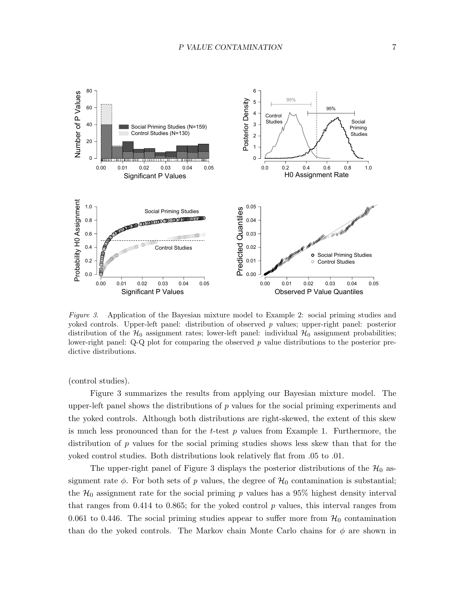

Figure 3. Application of the Bayesian mixture model to Example 2: social priming studies and yoked controls. Upper-left panel: distribution of observed p values; upper-right panel: posterior distribution of the  $\mathcal{H}_0$  assignment rates; lower-left panel: individual  $\mathcal{H}_0$  assignment probabilities; lower-right panel:  $Q-Q$  plot for comparing the observed p value distributions to the posterior predictive distributions.

(control studies).

Figure 3 summarizes the results from applying our Bayesian mixture model. The upper-left panel shows the distributions of  $p$  values for the social priming experiments and the yoked controls. Although both distributions are right-skewed, the extent of this skew is much less pronounced than for the  $t$ -test  $p$  values from Example 1. Furthermore, the distribution of p values for the social priming studies shows less skew than that for the yoked control studies. Both distributions look relatively flat from .05 to .01.

The upper-right panel of Figure 3 displays the posterior distributions of the  $\mathcal{H}_0$  assignment rate  $\phi$ . For both sets of p values, the degree of  $\mathcal{H}_0$  contamination is substantial; the  $\mathcal{H}_0$  assignment rate for the social priming p values has a 95% highest density interval that ranges from 0.414 to 0.865; for the yoked control  $p$  values, this interval ranges from 0.061 to 0.446. The social priming studies appear to suffer more from  $\mathcal{H}_0$  contamination than do the yoked controls. The Markov chain Monte Carlo chains for  $\phi$  are shown in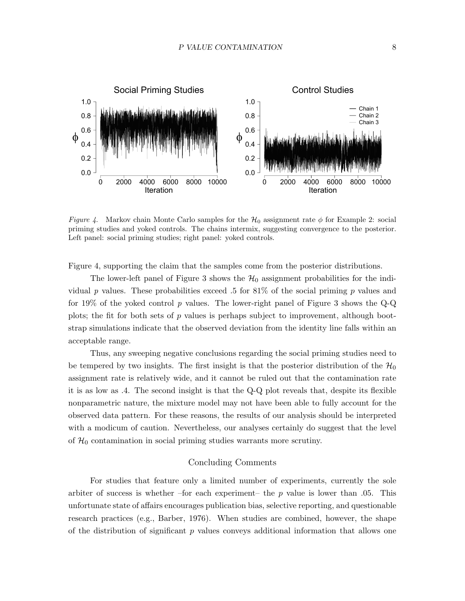

Figure 4. Markov chain Monte Carlo samples for the  $\mathcal{H}_0$  assignment rate  $\phi$  for Example 2: social priming studies and yoked controls. The chains intermix, suggesting convergence to the posterior. Left panel: social priming studies; right panel: yoked controls.

Figure 4, supporting the claim that the samples come from the posterior distributions.

The lower-left panel of Figure 3 shows the  $\mathcal{H}_0$  assignment probabilities for the individual p values. These probabilities exceed .5 for  $81\%$  of the social priming p values and for 19% of the yoked control p values. The lower-right panel of Figure 3 shows the  $Q-Q$ plots; the fit for both sets of  $p$  values is perhaps subject to improvement, although bootstrap simulations indicate that the observed deviation from the identity line falls within an acceptable range.

Thus, any sweeping negative conclusions regarding the social priming studies need to be tempered by two insights. The first insight is that the posterior distribution of the  $\mathcal{H}_0$ assignment rate is relatively wide, and it cannot be ruled out that the contamination rate it is as low as .4. The second insight is that the Q-Q plot reveals that, despite its flexible nonparametric nature, the mixture model may not have been able to fully account for the observed data pattern. For these reasons, the results of our analysis should be interpreted with a modicum of caution. Nevertheless, our analyses certainly do suggest that the level of  $\mathcal{H}_0$  contamination in social priming studies warrants more scrutiny.

## Concluding Comments

For studies that feature only a limited number of experiments, currently the sole arbiter of success is whether –for each experiment– the p value is lower than  $.05$ . This unfortunate state of affairs encourages publication bias, selective reporting, and questionable research practices (e.g., Barber, 1976). When studies are combined, however, the shape of the distribution of significant  $p$  values conveys additional information that allows one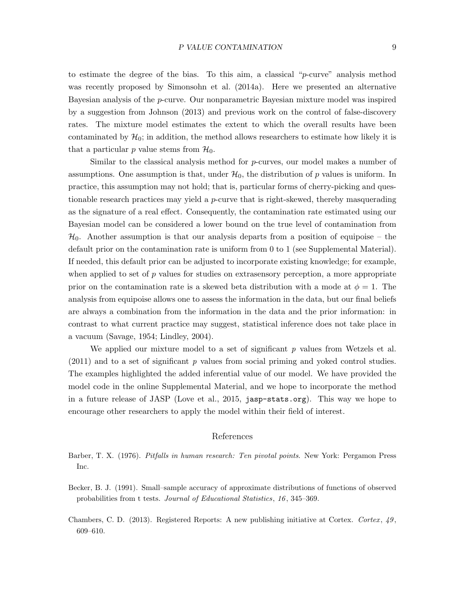to estimate the degree of the bias. To this aim, a classical " $p$ -curve" analysis method was recently proposed by Simonsohn et al. (2014a). Here we presented an alternative Bayesian analysis of the p-curve. Our nonparametric Bayesian mixture model was inspired by a suggestion from Johnson (2013) and previous work on the control of false-discovery rates. The mixture model estimates the extent to which the overall results have been contaminated by  $\mathcal{H}_0$ ; in addition, the method allows researchers to estimate how likely it is that a particular p value stems from  $\mathcal{H}_0$ .

Similar to the classical analysis method for p-curves, our model makes a number of assumptions. One assumption is that, under  $H_0$ , the distribution of p values is uniform. In practice, this assumption may not hold; that is, particular forms of cherry-picking and questionable research practices may yield a p-curve that is right-skewed, thereby masquerading as the signature of a real effect. Consequently, the contamination rate estimated using our Bayesian model can be considered a lower bound on the true level of contamination from  $\mathcal{H}_0$ . Another assumption is that our analysis departs from a position of equipoise – the default prior on the contamination rate is uniform from 0 to 1 (see Supplemental Material). If needed, this default prior can be adjusted to incorporate existing knowledge; for example, when applied to set of  $p$  values for studies on extrasensory perception, a more appropriate prior on the contamination rate is a skewed beta distribution with a mode at  $\phi = 1$ . The analysis from equipoise allows one to assess the information in the data, but our final beliefs are always a combination from the information in the data and the prior information: in contrast to what current practice may suggest, statistical inference does not take place in a vacuum (Savage, 1954; Lindley, 2004).

We applied our mixture model to a set of significant  $p$  values from Wetzels et al.  $(2011)$  and to a set of significant p values from social priming and yoked control studies. The examples highlighted the added inferential value of our model. We have provided the model code in the online Supplemental Material, and we hope to incorporate the method in a future release of JASP (Love et al., 2015, jasp-stats.org). This way we hope to encourage other researchers to apply the model within their field of interest.

#### References

- Barber, T. X. (1976). Pitfalls in human research: Ten pivotal points. New York: Pergamon Press Inc.
- Becker, B. J. (1991). Small–sample accuracy of approximate distributions of functions of observed probabilities from t tests. Journal of Educational Statistics, 16 , 345–369.
- Chambers, C. D. (2013). Registered Reports: A new publishing initiative at Cortex. Cortex,  $49$ , 609–610.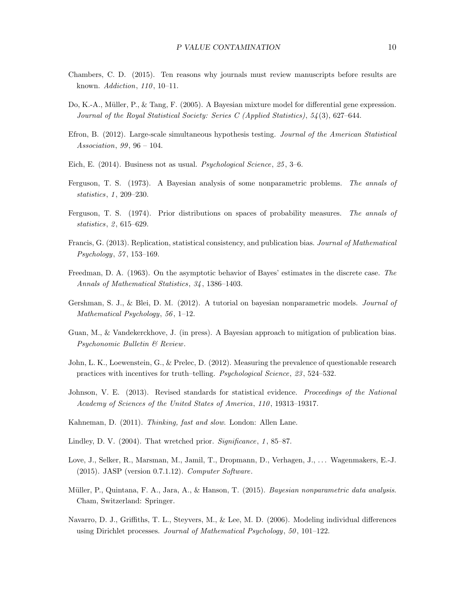- Chambers, C. D. (2015). Ten reasons why journals must review manuscripts before results are known. *Addiction*, 110, 10–11.
- Do, K.-A., M¨uller, P., & Tang, F. (2005). A Bayesian mixture model for differential gene expression. Journal of the Royal Statistical Society: Series C (Applied Statistics), 54 (3), 627–644.
- Efron, B. (2012). Large-scale simultaneous hypothesis testing. Journal of the American Statistical Association,  $99, 96 - 104$ .
- Eich, E. (2014). Business not as usual. *Psychological Science*, 25, 3–6.
- Ferguson, T. S. (1973). A Bayesian analysis of some nonparametric problems. The annals of statistics, 1, 209-230.
- Ferguson, T. S. (1974). Prior distributions on spaces of probability measures. The annals of statistics, 2, 615–629.
- Francis, G. (2013). Replication, statistical consistency, and publication bias. Journal of Mathematical Psychology, 57, 153-169.
- Freedman, D. A. (1963). On the asymptotic behavior of Bayes' estimates in the discrete case. The Annals of Mathematical Statistics, 34 , 1386–1403.
- Gershman, S. J., & Blei, D. M. (2012). A tutorial on bayesian nonparametric models. Journal of Mathematical Psychology, 56, 1–12.
- Guan, M., & Vandekerckhove, J. (in press). A Bayesian approach to mitigation of publication bias. Psychonomic Bulletin & Review.
- John, L. K., Loewenstein, G., & Prelec, D. (2012). Measuring the prevalence of questionable research practices with incentives for truth–telling. Psychological Science, 23 , 524–532.
- Johnson, V. E. (2013). Revised standards for statistical evidence. Proceedings of the National Academy of Sciences of the United States of America, 110, 19313-19317.
- Kahneman, D. (2011). Thinking, fast and slow. London: Allen Lane.
- Lindley, D. V. (2004). That wretched prior. Significance, 1, 85–87.
- Love, J., Selker, R., Marsman, M., Jamil, T., Dropmann, D., Verhagen, J., ... Wagenmakers, E.-J. (2015). JASP (version 0.7.1.12). Computer Software.
- Müller, P., Quintana, F. A., Jara, A., & Hanson, T. (2015). Bayesian nonparametric data analysis. Cham, Switzerland: Springer.
- Navarro, D. J., Griffiths, T. L., Steyvers, M., & Lee, M. D. (2006). Modeling individual differences using Dirichlet processes. Journal of Mathematical Psychology, 50, 101–122.